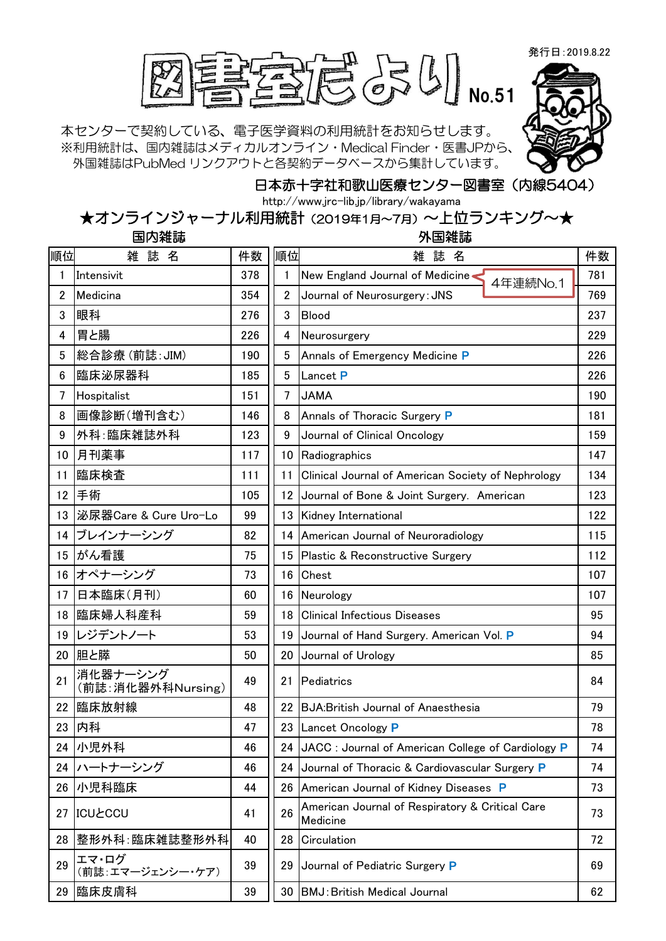発行日:2019.8.22



本センターで契約している、電子医学資料の利用統計をお知らせします。 ※利用統計は、国内雑誌はメディカルオンライン・Medical Finder・医書JPから、 外国雑誌はPubMed リンクアウトと各契約データベースから集計しています。



## 日本赤十字社和歌山医療センター図書室(内線5404)

http://www.jrc-lib.jp/library/wakayama

★オンラインジャーナル利用統計(2019年1月~7月)~上位ランキング~★

| 国内雑誌 |  |  |  |
|------|--|--|--|
|------|--|--|--|

外国雑誌

| 順位             | 雑誌名                           | 件数  | 順位 | 雑誌名                                                         | 件数  |
|----------------|-------------------------------|-----|----|-------------------------------------------------------------|-----|
| 1              | Intensivit                    | 378 | 1  | New England Journal of Medicine<<br>4年連続No.1                | 781 |
| $\overline{2}$ | Medicina                      | 354 | 2  | Journal of Neurosurgery: JNS                                | 769 |
| 3              | 眼科                            | 276 | 3  | Blood                                                       | 237 |
| 4              | 胃と腸                           | 226 | 4  | Neurosurgery                                                | 229 |
| 5              | 総合診療(前誌:JIM)                  | 190 | 5  | Annals of Emergency Medicine P                              | 226 |
| 6              | 臨床泌尿器科                        | 185 | 5  | Lancet P                                                    | 226 |
| 7              | Hospitalist                   | 151 | 7  | <b>JAMA</b>                                                 | 190 |
| 8              | 画像診断(増刊含む)                    | 146 | 8  | Annals of Thoracic Surgery P                                | 181 |
| 9              | 外科:臨床雑誌外科                     | 123 | 9  | Journal of Clinical Oncology                                | 159 |
| 10             | 月刊薬事                          | 117 | 10 | Radiographics                                               | 147 |
| 11             | 臨床検査                          | 111 | 11 | Clinical Journal of American Society of Nephrology          | 134 |
| 12             | 手術                            | 105 | 12 | Journal of Bone & Joint Surgery. American                   | 123 |
| 13             | 泌尿器Care & Cure Uro-Lo         | 99  | 13 | Kidney International                                        | 122 |
| 14             | ブレインナーシング                     | 82  | 14 | American Journal of Neuroradiology                          | 115 |
| 15             | がん看護                          | 75  | 15 | Plastic & Reconstructive Surgery                            | 112 |
|                | 16 オペナーシング                    | 73  | 16 | Chest                                                       | 107 |
| 17             | 日本臨床(月刊)                      | 60  | 16 | Neurology                                                   | 107 |
| 18             | 臨床婦人科産科                       | 59  | 18 | <b>Clinical Infectious Diseases</b>                         | 95  |
| 19             | レジデントノート                      | 53  | 19 | Journal of Hand Surgery. American Vol. P                    | 94  |
| 20             | 胆と膵                           | 50  | 20 | Journal of Urology                                          | 85  |
| 21             | 消化器ナーシング<br>(前誌:消化器外科Nursing) | 49  | 21 | Pediatrics                                                  | 84  |
| 22             | 臨床放射線                         | 48  | 22 | <b>BJA:British Journal of Anaesthesia</b>                   | 79  |
| 23             | 内科                            | 47  | 23 | Lancet Oncology P                                           | 78  |
|                | 24 小児外科                       | 46  |    | 24 JACC : Journal of American College of Cardiology P       | 74  |
|                | 24 ハートナーシング                   | 46  |    | 24 Journal of Thoracic & Cardiovascular Surgery P           | 74  |
|                | 26 小児科臨床                      | 44  | 26 | American Journal of Kidney Diseases P                       | 73  |
| 27             | <b>ICUŁCCU</b>                | 41  | 26 | American Journal of Respiratory & Critical Care<br>Medicine | 73  |
| 28             | 整形外科:臨床雑誌整形外科                 | 40  | 28 | Circulation                                                 | 72  |
| 29             | エマ・ログ<br>(前誌:エマージェンシー・ケア)     | 39  | 29 | Journal of Pediatric Surgery P                              | 69  |
| 29             | 臨床皮膚科                         | 39  |    | 30   BMJ: British Medical Journal                           | 62  |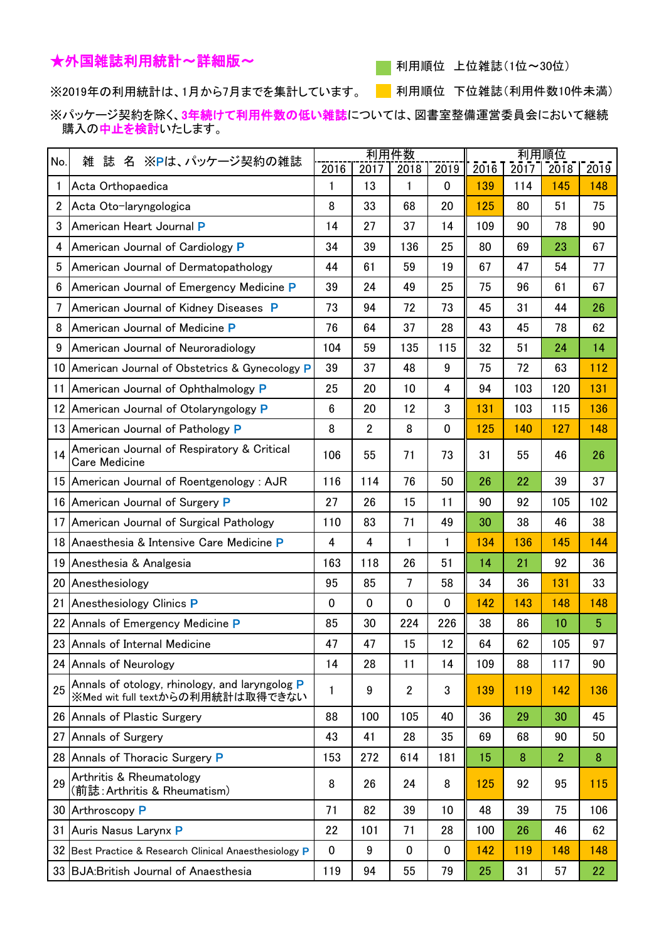## ★外国雑誌利用統計~詳細版~

■ 利用順位 上位雑誌(1位~30位)

※2019年の利用統計は、1月から7月までを集計しています。 ┃ 利用順位 下位雑誌(利用件数10件未満)

※パッケージ契約を除く、3年続けて利用件数の低い雑誌については、図書室整備運営委員会において継続 購入の中止を検討いたします。

| No. | 誌 名 ※Pは、パッケージ契約の雑誌<br>雑                                                            |             | 利用件数           |                      |           |             |             | 利用順位           |             |  |  |
|-----|------------------------------------------------------------------------------------|-------------|----------------|----------------------|-----------|-------------|-------------|----------------|-------------|--|--|
| 1   | Acta Orthopaedica                                                                  | 2016<br>1   | 2017<br>13     | 2018<br>$\mathbf{1}$ | 2019<br>0 | 2016<br>139 | 2017<br>114 | 2018<br>145    | 2019<br>148 |  |  |
| 2   | Acta Oto-laryngologica                                                             | 8           | 33             | 68                   | 20        | 125         | 80          | 51             | 75          |  |  |
| 3   | American Heart Journal P                                                           | 14          | 27             | 37                   | 14        | 109         | 90          | 78             | 90          |  |  |
| 4   | American Journal of Cardiology P                                                   | 34          | 39             | 136                  | 25        | 80          | 69          | 23             | 67          |  |  |
| 5   | American Journal of Dermatopathology                                               | 44          | 61             | 59                   | 19        | 67          | 47          | 54             | 77          |  |  |
| 6   | American Journal of Emergency Medicine P                                           | 39          | 24             | 49                   | 25        | 75          | 96          | 61             | 67          |  |  |
| 7   | American Journal of Kidney Diseases P                                              | 73          | 94             | 72                   | 73        | 45          | 31          | 44             | 26          |  |  |
| 8   | American Journal of Medicine P                                                     | 76          | 64             | 37                   | 28        | 43          | 45          | 78             | 62          |  |  |
|     |                                                                                    | 104         | 59             | 135                  | 115       | 32          | 51          | 24             | 14          |  |  |
| 9   | American Journal of Neuroradiology                                                 | 39          |                | 48                   | 9         | 75          |             |                |             |  |  |
| 10  | American Journal of Obstetrics & Gynecology P                                      |             | 37             |                      |           |             | 72          | 63             | 112         |  |  |
| 11  | American Journal of Ophthalmology P                                                | 25          | 20             | 10                   | 4         | 94          | 103         | 120            | 131         |  |  |
| 12  | American Journal of Otolaryngology P                                               | 6           | 20             | 12                   | 3         | 131         | 103         | 115            | 136         |  |  |
| 13  | American Journal of Pathology P                                                    | 8           | $\overline{2}$ | 8                    | 0         | 125         | 140         | 127            | 148         |  |  |
| 14  | American Journal of Respiratory & Critical<br><b>Care Medicine</b>                 | 106         | 55             | 71                   | 73        | 31          | 55          | 46             | 26          |  |  |
|     | 15 American Journal of Roentgenology: AJR                                          | 116         | 114            | 76                   | 50        | 26          | 22          | 39             | 37          |  |  |
| 16  | American Journal of Surgery P                                                      | 27          | 26             | 15                   | 11        | 90          | 92          | 105            | 102         |  |  |
| 17  | American Journal of Surgical Pathology                                             | 110         | 83             | 71                   | 49        | 30          | 38          | 46             | 38          |  |  |
| 18  | Anaesthesia & Intensive Care Medicine P                                            | 4           | 4              | 1                    | 1         | 134         | 136         | 145            | 144         |  |  |
| 19  | Anesthesia & Analgesia                                                             | 163         | 118            | 26                   | 51        | 14          | 21          | 92             | 36          |  |  |
| 20  | Anesthesiology                                                                     | 95          | 85             | 7                    | 58        | 34          | 36          | 131            | 33          |  |  |
| 21  | Anesthesiology Clinics P                                                           | $\mathbf 0$ | 0              | $\mathbf 0$          | 0         | 142         | 143         | 148            | 148         |  |  |
| 22  | Annals of Emergency Medicine P                                                     | 85          | 30             | 224                  | 226       | 38          | 86          | 10             | 5           |  |  |
|     | 23 Annals of Internal Medicine                                                     | 47          | 47             | 15                   | 12        | 64          | 62          | 105            | 97          |  |  |
|     | 24 Annals of Neurology                                                             | 14          | 28             | 11                   | 14        | 109         | 88          | 117            | 90          |  |  |
| 25  | Annals of otology, rhinology, and laryngolog P<br>※Med wit full textからの利用統計は取得できない | 1           | 9              | $\overline{2}$       | 3         | 139         | 119         | 142            | 136         |  |  |
|     | 26 Annals of Plastic Surgery                                                       | 88          | 100            | 105                  | 40        | 36          | 29          | 30             | 45          |  |  |
| 27  | Annals of Surgery                                                                  | 43          | 41             | 28                   | 35        | 69          | 68          | 90             | 50          |  |  |
|     | 28 Annals of Thoracic Surgery P                                                    | 153         | 272            | 614                  | 181       | 15          | 8           | $\overline{2}$ | 8           |  |  |
| 29  | Arthritis & Rheumatology<br>(前誌: Arthritis & Rheumatism)                           | 8           | 26             | 24                   | 8         | 125         | 92          | 95             | 115         |  |  |
|     | 30 Arthroscopy P                                                                   | 71          | 82             | 39                   | 10        | 48          | 39          | 75             | 106         |  |  |
| 31  | Auris Nasus Larynx P                                                               | 22          | 101            | 71                   | 28        | 100         | 26          | 46             | 62          |  |  |
|     | 32 Best Practice & Research Clinical Anaesthesiology P                             | $\mathbf 0$ | 9              | $\mathbf 0$          | $\pmb{0}$ | 142         | 119         | 148            | 148         |  |  |
|     | 33 BJA: British Journal of Anaesthesia                                             | 119         | 94             | 55                   | 79        | 25          | 31          | 57             | 22          |  |  |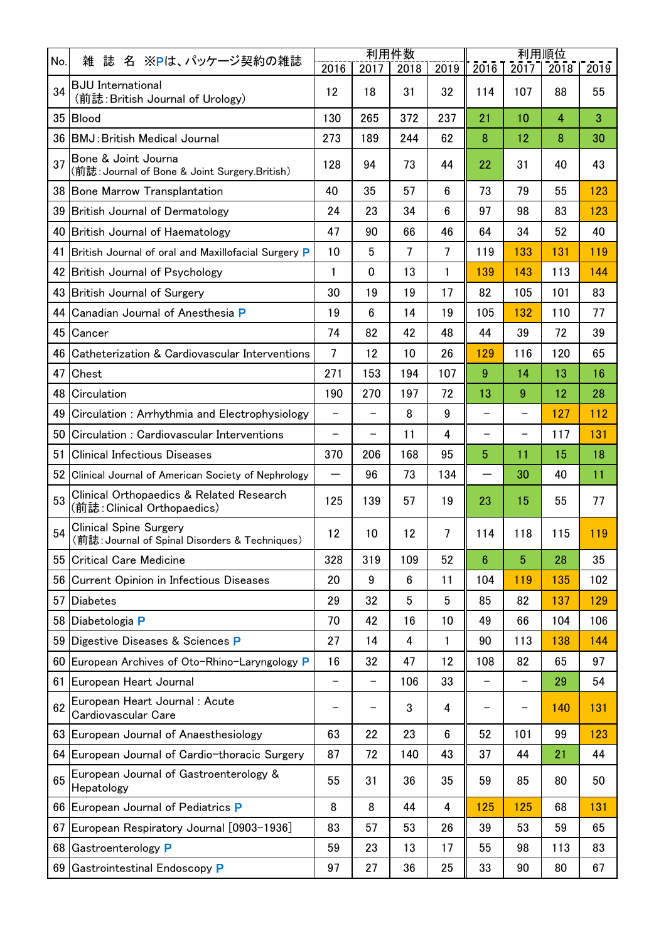|     |                                                                                 | 利用件数                     |                          |      |                | <u> 利用順位</u>             |                          |                |      |
|-----|---------------------------------------------------------------------------------|--------------------------|--------------------------|------|----------------|--------------------------|--------------------------|----------------|------|
| No. | 誌 名 ※Pは、パッケージ契約の雑誌<br>雑                                                         | 2016                     | 2017                     | 2018 | 2019           | 2016                     | 2017                     | 2018           | 2019 |
| 34  | <b>BJU</b> International<br>(前誌: British Journal of Urology)                    | 12                       | 18                       | 31   | 32             | 114                      | 107                      | 88             | 55   |
|     | 35 Blood                                                                        | 130                      | 265                      | 372  | 237            | 21                       | 10                       | $\overline{4}$ | 3    |
|     | 36 BMJ: British Medical Journal                                                 | 273                      | 189                      | 244  | 62             | 8                        | 12                       | 8              | 30   |
| 37  | Bone & Joint Journa<br>(前誌: Journal of Bone & Joint Surgery.British)            | 128                      | 94                       | 73   | 44             | 22                       | 31                       | 40             | 43   |
|     | 38 Bone Marrow Transplantation                                                  | 40                       | 35                       | 57   | 6              | 73                       | 79                       | 55             | 123  |
|     | 39 British Journal of Dermatology                                               | 24                       | 23                       | 34   | 6              | 97                       | 98                       | 83             | 123  |
|     | 40 British Journal of Haematology                                               | 47                       | 90                       | 66   | 46             | 64                       | 34                       | 52             | 40   |
| 41  | British Journal of oral and Maxillofacial Surgery P                             | 10                       | 5                        | 7    | $\overline{7}$ | 119                      | 133                      | 131            | 119  |
|     | 42 British Journal of Psychology                                                | $\mathbf{1}$             | $\mathbf 0$              | 13   | 1              | 139                      | 143                      | 113            | 144  |
|     | 43 British Journal of Surgery                                                   | 30                       | 19                       | 19   | 17             | 82                       | 105                      | 101            | 83   |
| 44  | Canadian Journal of Anesthesia P                                                | 19                       | 6                        | 14   | 19             | 105                      | 132                      | 110            | 77   |
|     | 45 Cancer                                                                       | 74                       | 82                       | 42   | 48             | 44                       | 39                       | 72             | 39   |
| 46  | Catheterization & Cardiovascular Interventions                                  | 7                        | 12                       | 10   | 26             | 129                      | 116                      | 120            | 65   |
| 47  | Chest                                                                           | 271                      | 153                      | 194  | 107            | 9                        | 14                       | 13             | 16   |
| 48  | Circulation                                                                     | 190                      | 270                      | 197  | 72             | 13                       | 9                        | 12             | 28   |
| 49  | Circulation: Arrhythmia and Electrophysiology                                   | $\qquad \qquad -$        | $\overline{\phantom{0}}$ | 8    | 9              | $\overline{\phantom{0}}$ | $\overline{\phantom{0}}$ | 127            | 112  |
| 50  | Circulation: Cardiovascular Interventions                                       | $\qquad \qquad -$        | $\overline{\phantom{0}}$ | 11   | 4              | $\overline{\phantom{0}}$ | $\overline{\phantom{0}}$ | 117            | 131  |
| 51  | <b>Clinical Infectious Diseases</b>                                             | 370                      | 206                      | 168  | 95             | 5                        | 11                       | 15             | 18   |
|     | 52 Clinical Journal of American Society of Nephrology                           | —                        | 96                       | 73   | 134            | $\overline{\phantom{0}}$ | 30                       | 40             | 11   |
| 53  | Clinical Orthopaedics & Related Research<br>(前誌:Clinical Orthopaedics)          | 125                      | 139                      | 57   | 19             | 23                       | 15                       | 55             | 77   |
| 54  | <b>Clinical Spine Surgery</b><br>(前誌: Journal of Spinal Disorders & Techniques) | 12                       | 10                       | 12   | $\overline{7}$ | 114                      | 118                      | 115            | 119  |
|     | 55 Critical Care Medicine                                                       | 328                      | 319                      | 109  | 52             | $6\phantom{1}6$          | 5                        | 28             | 35   |
|     | 56 Current Opinion in Infectious Diseases                                       | 20                       | 9                        | 6    | 11             | 104                      | 119                      | 135            | 102  |
|     | 57 Diabetes                                                                     | 29                       | 32                       | 5    | 5              | 85                       | 82                       | 137            | 129  |
|     | 58 Diabetologia P                                                               | 70                       | 42                       | 16   | 10             | 49                       | 66                       | 104            | 106  |
|     | 59 Digestive Diseases & Sciences P                                              | 27                       | 14                       | 4    | 1              | 90                       | 113                      | 138            | 144  |
|     | 60 European Archives of Oto-Rhino-Laryngology P                                 | 16                       | 32                       | 47   | 12             | 108                      | 82                       | 65             | 97   |
|     | 61 European Heart Journal                                                       | $\overline{\phantom{0}}$ | $\qquad \qquad -$        | 106  | 33             | $\overline{a}$           | $\overline{\phantom{0}}$ | 29             | 54   |
| 62  | European Heart Journal: Acute<br>Cardiovascular Care                            |                          |                          | 3    | 4              |                          | -                        | 140            | 131  |
|     | 63 European Journal of Anaesthesiology                                          | 63                       | 22                       | 23   | $6\phantom{1}$ | 52                       | 101                      | 99             | 123  |
|     | 64 European Journal of Cardio-thoracic Surgery                                  | 87                       | 72                       | 140  | 43             | 37                       | 44                       | 21             | 44   |
| 65  | European Journal of Gastroenterology &<br>Hepatology                            | 55                       | 31                       | 36   | 35             | 59                       | 85                       | 80             | 50   |
|     | 66 European Journal of Pediatrics P                                             | 8                        | 8                        | 44   | 4              | 125                      | 125                      | 68             | 131  |
|     | 67 European Respiratory Journal [0903-1936]                                     | 83                       | 57                       | 53   | 26             | 39                       | 53                       | 59             | 65   |
|     | 68 Gastroenterology P                                                           | 59                       | 23                       | 13   | 17             | 55                       | 98                       | 113            | 83   |
|     | 69 Gastrointestinal Endoscopy P                                                 | 97                       | 27                       | 36   | 25             | 33                       | 90                       | 80             | 67   |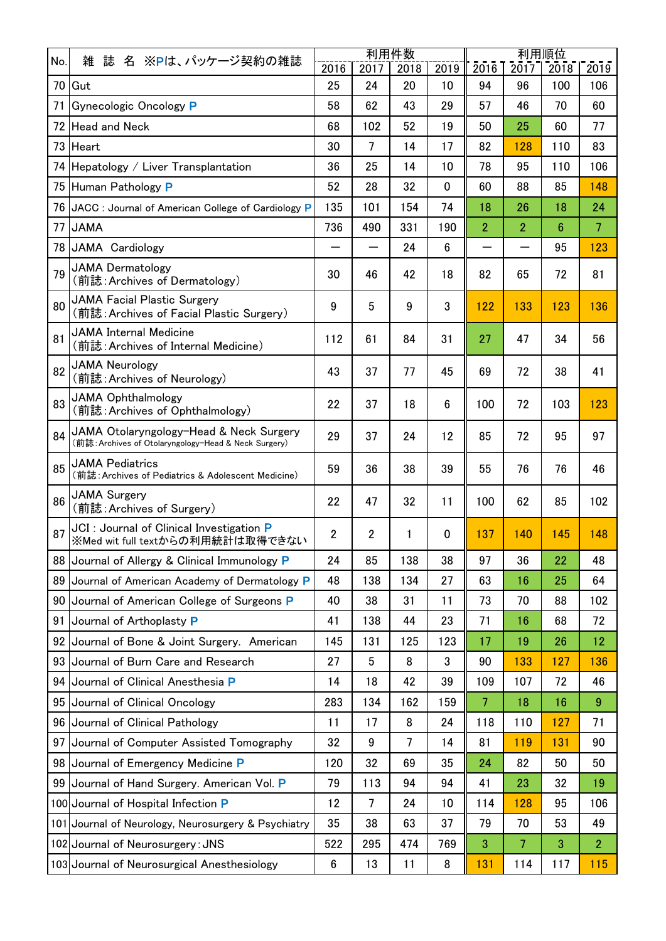|                 | 誌 名 ※Pは、パッケージ契約の雑誌<br>雑                                                                         | 利用件数           |                |      |                 | 利用順位           |      |      |                |
|-----------------|-------------------------------------------------------------------------------------------------|----------------|----------------|------|-----------------|----------------|------|------|----------------|
| No.             |                                                                                                 | 2016           | 2017           | 2018 | 2019            | 2016           | 2017 | 2018 | 2019           |
|                 | 70 Gut                                                                                          | 25             | 24             | 20   | 10              | 94             | 96   | 100  | 106            |
| 71              | Gynecologic Oncology P                                                                          | 58             | 62             | 43   | 29              | 57             | 46   | 70   | 60             |
|                 | 72 Head and Neck                                                                                | 68             | 102            | 52   | 19              | 50             | 25   | 60   | 77             |
|                 | 73 Heart                                                                                        | 30             | $\overline{7}$ | 14   | 17              | 82             | 128  | 110  | 83             |
|                 | 74 Hepatology / Liver Transplantation                                                           | 36             | 25             | 14   | 10              | 78             | 95   | 110  | 106            |
|                 | 75 Human Pathology P                                                                            | 52             | 28             | 32   | 0               | 60             | 88   | 85   | 148            |
|                 | 76 JACC : Journal of American College of Cardiology P                                           | 135            | 101            | 154  | 74              | 18             | 26   | 18   | 24             |
| 77              | <b>JAMA</b>                                                                                     | 736            | 490            | 331  | 190             | $\overline{2}$ | 2    | 6    | $\overline{7}$ |
|                 | 78 JAMA Cardiology                                                                              |                |                | 24   | $6\phantom{1}$  |                |      | 95   | 123            |
| 79              | <b>JAMA Dermatology</b><br>(前誌: Archives of Dermatology)                                        | 30             | 46             | 42   | 18              | 82             | 65   | 72   | 81             |
| 80              | <b>JAMA Facial Plastic Surgery</b><br>(前誌: Archives of Facial Plastic Surgery)                  | 9              | 5              | 9    | 3               | 122            | 133  | 123  | 136            |
| 81              | JAMA Internal Medicine<br>(前誌: Archives of Internal Medicine)                                   | 112            | 61             | 84   | 31              | 27             | 47   | 34   | 56             |
| 82              | <b>JAMA Neurology</b><br>(前誌: Archives of Neurology)                                            | 43             | 37             | 77   | 45              | 69             | 72   | 38   | 41             |
| 83              | <b>JAMA Ophthalmology</b><br>(前誌: Archives of Ophthalmology)                                    | 22             | 37             | 18   | $6\phantom{.}6$ | 100            | 72   | 103  | 123            |
| 84              | JAMA Otolaryngology-Head & Neck Surgery<br>(前誌: Archives of Otolaryngology-Head & Neck Surgery) | 29             | 37             | 24   | 12              | 85             | 72   | 95   | 97             |
| 85              | <b>JAMA Pediatrics</b><br>(前誌: Archives of Pediatrics & Adolescent Medicine)                    | 59             | 36             | 38   | 39              | 55             | 76   | 76   | 46             |
| 86              | <b>JAMA Surgery</b><br>(前誌: Archives of Surgery)                                                | 22             | 47             | 32   | 11              | 100            | 62   | 85   | 102            |
| 87              | JCI : Journal of Clinical Investigation P<br>※Med wit full textからの利用統計は取得できない                   | $\overline{2}$ | $\overline{2}$ | 1    | 0               | 137            | 140  | 145  | 148            |
|                 | 88 Journal of Allergy & Clinical Immunology P                                                   | 24             | 85             | 138  | 38              | 97             | 36   | 22   | 48             |
|                 | 89 Journal of American Academy of Dermatology P                                                 | 48             | 138            | 134  | 27              | 63             | 16   | 25   | 64             |
|                 | 90 Journal of American College of Surgeons P                                                    | 40             | 38             | 31   | 11              | 73             | 70   | 88   | 102            |
| 91              | Journal of Arthoplasty P                                                                        | 41             | 138            | 44   | 23              | 71             | 16   | 68   | 72             |
|                 | 92 Journal of Bone & Joint Surgery. American                                                    | 145            | 131            | 125  | 123             | 17             | 19   | 26   | 12             |
|                 | 93 Journal of Burn Care and Research                                                            | 27             | 5              | 8    | 3               | 90             | 133  | 127  | 136            |
|                 | 94 Journal of Clinical Anesthesia P                                                             | 14             | 18             | 42   | 39              | 109            | 107  | 72   | 46             |
|                 | 95 Journal of Clinical Oncology                                                                 | 283            | 134            | 162  | 159             | 7              | 18   | 16   | 9              |
| 96              | Journal of Clinical Pathology                                                                   | 11             | 17             | 8    | 24              | 118            | 110  | 127  | 71             |
| 97              | Journal of Computer Assisted Tomography                                                         | 32             | $9\,$          | 7    | 14              | 81             | 119  | 131  | 90             |
| 98 <sub>1</sub> | Journal of Emergency Medicine P                                                                 | 120            | 32             | 69   | 35              | 24             | 82   | 50   | 50             |
|                 | 99 Journal of Hand Surgery. American Vol. P                                                     | 79             | 113            | 94   | 94              | 41             | 23   | 32   | 19             |
|                 | 100 Journal of Hospital Infection P                                                             | 12             | $\overline{7}$ | 24   | 10              | 114            | 128  | 95   | 106            |
|                 | 101 Journal of Neurology, Neurosurgery & Psychiatry                                             | 35             | 38             | 63   | 37              | 79             | 70   | 53   | 49             |
|                 | 102 Journal of Neurosurgery: JNS                                                                | 522            | 295            | 474  | 769             | 3              | 7    | 3    | $\overline{2}$ |
|                 | 103 Journal of Neurosurgical Anesthesiology                                                     | $6\phantom{.}$ | 13             | 11   | 8               | 131            | 114  | 117  | 115            |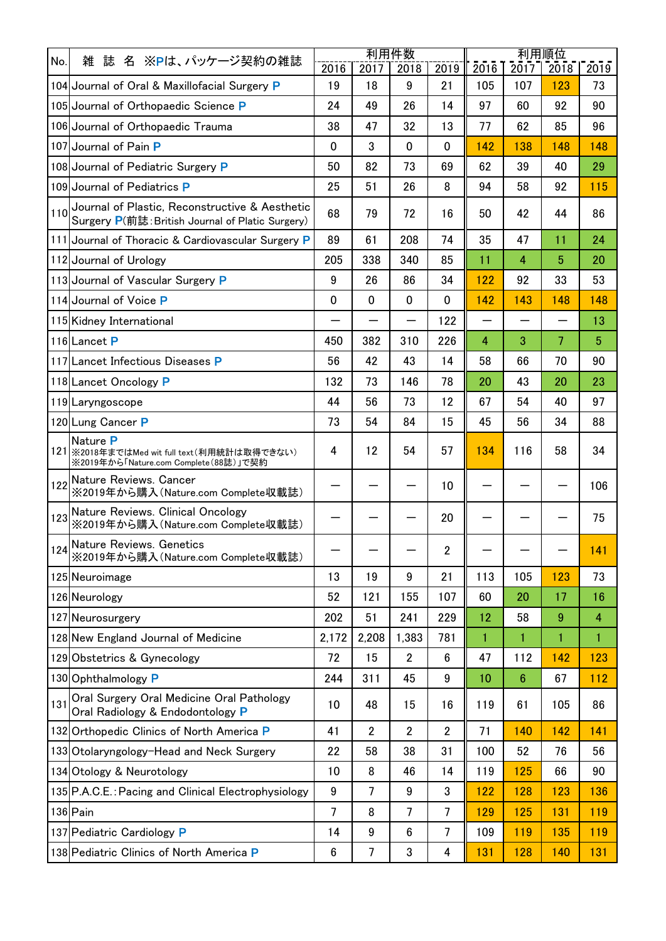| No. | 誌 名 ※Pは、パッケージ契約の雑誌<br>雑                                                                            | 利用件数           |                |                  | 利用順位             |                          |                |                |                |
|-----|----------------------------------------------------------------------------------------------------|----------------|----------------|------------------|------------------|--------------------------|----------------|----------------|----------------|
|     |                                                                                                    | 2016           | 2017           | 2018             | 2019             | 2016                     | 2017           | 2018           | 2019           |
|     | 104 Journal of Oral & Maxillofacial Surgery P                                                      | 19             | 18             | 9                | 21               | 105                      | 107            | 123            | 73             |
|     | 105 Journal of Orthopaedic Science P                                                               | 24             | 49             | 26               | 14               | 97                       | 60             | 92             | 90             |
|     | 106 Journal of Orthopaedic Trauma                                                                  | 38             | 47             | 32               | 13               | 77                       | 62             | 85             | 96             |
|     | 107 Journal of Pain P                                                                              | $\mathbf 0$    | 3              | $\mathbf 0$      | $\mathbf 0$      | 142                      | 138            | 148            | 148            |
|     | 108 Journal of Pediatric Surgery P                                                                 | 50             | 82             | 73               | 69               | 62                       | 39             | 40             | 29             |
|     | 109 Journal of Pediatrics P                                                                        | 25             | 51             | 26               | 8                | 94                       | 58             | 92             | 115            |
| 110 | Journal of Plastic, Reconstructive & Aesthetic<br>Surgery P(前誌: British Journal of Platic Surgery) | 68             | 79             | 72               | 16               | 50                       | 42             | 44             | 86             |
|     | 111 Journal of Thoracic & Cardiovascular Surgery P                                                 | 89             | 61             | 208              | 74               | 35                       | 47             | 11             | 24             |
|     | 112 Journal of Urology                                                                             | 205            | 338            | 340              | 85               | 11                       | $\overline{4}$ | 5              | 20             |
|     | 113 Journal of Vascular Surgery P                                                                  | 9              | 26             | 86               | 34               | 122                      | 92             | 33             | 53             |
|     | 114 Journal of Voice P                                                                             | 0              | $\mathbf 0$    | $\mathbf 0$      | 0                | 142                      | 143            | 148            | 148            |
|     | 115 Kidney International                                                                           |                |                | —                | 122              | $\overline{\phantom{0}}$ |                | —              | 13             |
|     | 116 Lancet P                                                                                       | 450            | 382            | 310              | 226              | $\overline{4}$           | 3              | $\overline{7}$ | 5              |
|     | 117 Lancet Infectious Diseases P                                                                   | 56             | 42             | 43               | 14               | 58                       | 66             | 70             | 90             |
|     | 118 Lancet Oncology P                                                                              | 132            | 73             | 146              | 78               | 20                       | 43             | 20             | 23             |
|     | 119 Laryngoscope                                                                                   | 44             | 56             | 73               | 12               | 67                       | 54             | 40             | 97             |
|     | 120 Lung Cancer P                                                                                  | 73             | 54             | 84               | 15               | 45                       | 56             | 34             | 88             |
|     | Nature P<br>121 ※2018年まではMed wit full text(利用統計は取得できない)<br>※2019年から「Nature.com Complete (88誌)」で契約  | 4              | 12             | 54               | 57               | 134                      | 116            | 58             | 34             |
|     | 122 Nature Reviews. Cancer<br>※2019年から購入 (Nature.com Complete収載誌)                                  |                |                |                  | 10               |                          |                |                | 106            |
|     | 123 Nature Reviews. Clinical Oncology<br>※2019年から購入 (Nature.com Complete収載誌)                       |                |                |                  | 20               |                          |                |                | 75             |
|     | Nature Reviews. Genetics<br>124 Wature Neviews. Journals<br>※2019年から購入(Nature.com Complete収載誌)     |                |                |                  | $\overline{c}$   |                          |                |                | 141            |
|     | 125 Neuroimage                                                                                     | 13             | 19             | 9                | 21               | 113                      | 105            | 123            | 73             |
|     | 126 Neurology                                                                                      | 52             | 121            | 155              | 107              | 60                       | 20             | 17             | 16             |
|     | 127 Neurosurgery                                                                                   | 202            | 51             | 241              | 229              | 12                       | 58             | 9              | $\overline{4}$ |
|     | 128 New England Journal of Medicine                                                                | 2,172          | 2,208          | 1,383            | 781              | 1                        | 1              | 1              | 1              |
|     | 129 Obstetrics & Gynecology                                                                        | 72             | 15             | $\overline{2}$   | $\boldsymbol{6}$ | 47                       | 112            | 142            | 123            |
|     | 130 Ophthalmology P                                                                                | 244            | 311            | 45               | $\boldsymbol{9}$ | 10                       | 6              | 67             | 112            |
| 131 | Oral Surgery Oral Medicine Oral Pathology<br>Oral Radiology & Endodontology P                      | 10             | 48             | 15               | 16               | 119                      | 61             | 105            | 86             |
|     | 132 Orthopedic Clinics of North America P                                                          | 41             | $\overline{2}$ | $\overline{2}$   | $\overline{2}$   | 71                       | 140            | 142            | 141            |
|     | 133 Otolaryngology-Head and Neck Surgery                                                           | 22             | 58             | 38               | 31               | 100                      | 52             | 76             | 56             |
|     | 134 Otology & Neurotology                                                                          | 10             | 8              | 46               | 14               | 119                      | 125            | 66             | 90             |
|     | 135 P.A.C.E.: Pacing and Clinical Electrophysiology                                                | 9              | 7              | $\boldsymbol{9}$ | $\mathbf 3$      | 122                      | 128            | 123            | 136            |
|     | 136 Pain                                                                                           | $\overline{7}$ | 8              | 7                | 7                | 129                      | 125            | 131            | 119            |
|     | 137 Pediatric Cardiology P                                                                         | 14             | 9              | 6                | 7                | 109                      | 119            | 135            | 119            |
|     | 138 Pediatric Clinics of North America P                                                           | 6              | 7              | 3                | 4                | 131                      | 128            | 140            | 131            |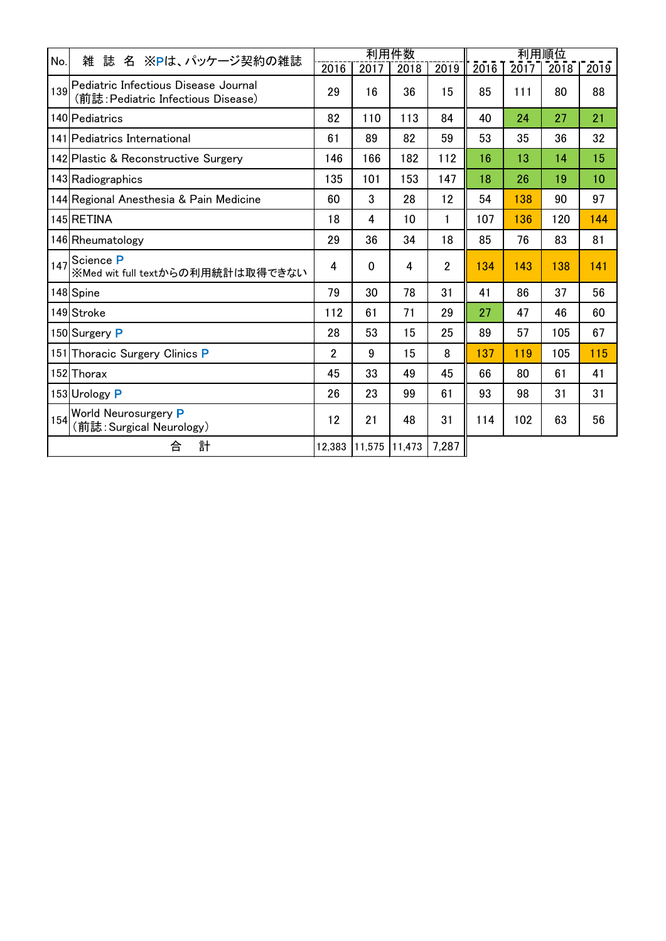| No. | 名 ※Pは、パッケージ契約の雑誌<br>雑<br>誌                                                 |                |             | 利用件数   |                | <u> 利用順位</u> |      |      |      |  |
|-----|----------------------------------------------------------------------------|----------------|-------------|--------|----------------|--------------|------|------|------|--|
|     |                                                                            | 2016           | 2017        | 2018   | 2019           | 2016         | 2017 | 2018 | 2019 |  |
| 139 | Pediatric Infectious Disease Journal<br>(前誌: Pediatric Infectious Disease) | 29             | 16          | 36     | 15             | 85           | 111  | 80   | 88   |  |
|     | 140 Pediatrics                                                             | 82             | 110         | 113    | 84             | 40           | 24   | 27   | 21   |  |
|     | 141 Pediatrics International                                               | 61             | 89          | 82     | 59             | 53           | 35   | 36   | 32   |  |
|     | 142 Plastic & Reconstructive Surgery                                       | 146            | 166         | 182    | 112            | 16           | 13   | 14   | 15   |  |
|     | 143 Radiographics                                                          | 135            | 101         | 153    | 147            | 18           | 26   | 19   | 10   |  |
|     | 144 Regional Anesthesia & Pain Medicine                                    | 60             | 3           | 28     | 12             | 54           | 138  | 90   | 97   |  |
|     | 145 RETINA                                                                 | 18             | 4           | 10     | 1              | 107          | 136  | 120  | 144  |  |
|     | 146 Rheumatology                                                           | 29             | 36          | 34     | 18             | 85           | 76   | 83   | 81   |  |
| 147 | Science P<br>※Med wit full textからの利用統計は取得できない                              | 4              | $\mathbf 0$ | 4      | $\overline{2}$ | 134          | 143  | 138  | 141  |  |
|     | 148 Spine                                                                  | 79             | 30          | 78     | 31             | 41           | 86   | 37   | 56   |  |
|     | 149 Stroke                                                                 | 112            | 61          | 71     | 29             | 27           | 47   | 46   | 60   |  |
|     | 150 Surgery P                                                              | 28             | 53          | 15     | 25             | 89           | 57   | 105  | 67   |  |
|     | 151 Thoracic Surgery Clinics P                                             | $\overline{2}$ | 9           | 15     | 8              | 137          | 119  | 105  | 115  |  |
|     | 152 Thorax                                                                 | 45             | 33          | 49     | 45             | 66           | 80   | 61   | 41   |  |
|     | 153 Urology P                                                              | 26             | 23          | 99     | 61             | 93           | 98   | 31   | 31   |  |
|     | 154 World Neurosurgery P<br>(前誌: Surgical Neurology)                       | 12             | 21          | 48     | 31             | 114          | 102  | 63   | 56   |  |
|     | 計<br>合                                                                     | 12,383         | 11,575      | 11,473 | 7,287          |              |      |      |      |  |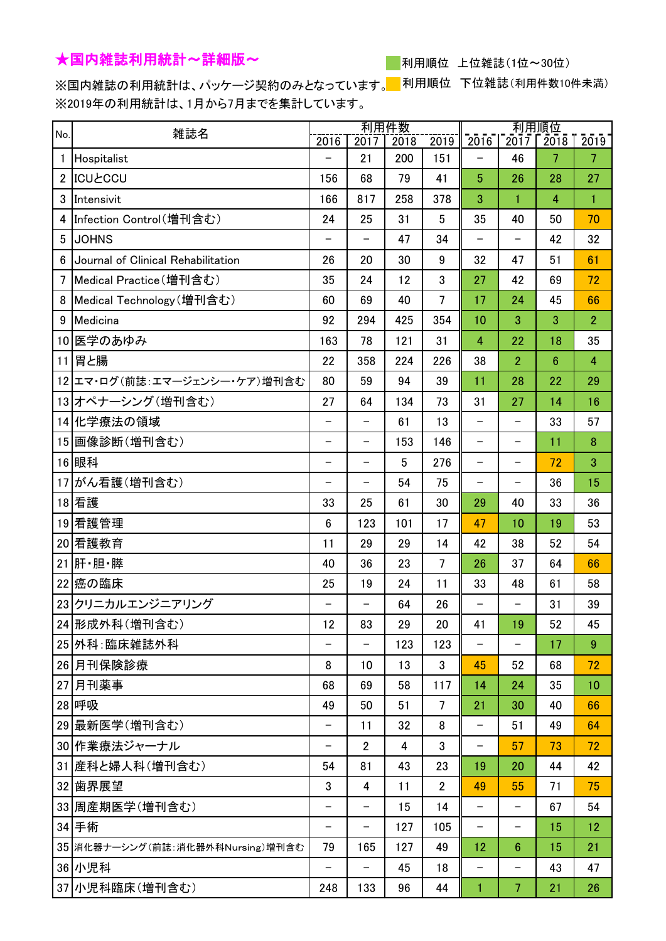## ★国内雑誌利用統計~詳細版~

利用順位 上位雑誌(1位~30位)

※国内雑誌の利用統計は、パッケージ契約のみとなっています。 利用順位 下位雑誌(利用件数10件未満) ※2019年の利用統計は、1月から7月までを集計しています。

| No.            | 雑誌名                                | 利用件数                     |                   |      | 利用順位           |                          |                          |                 |                |
|----------------|------------------------------------|--------------------------|-------------------|------|----------------|--------------------------|--------------------------|-----------------|----------------|
|                |                                    | 2016                     | 2017              | 2018 | 2019           | 2016                     | 2017                     | 2018            | 2019           |
| $\mathbf{1}$   | Hospitalist                        |                          | 21                | 200  | 151            |                          | 46                       | 7               | $\overline{7}$ |
| $\overline{2}$ | <b>ICUŁCCU</b>                     | 156                      | 68                | 79   | 41             | $\overline{5}$           | 26                       | 28              | 27             |
| 3              | Intensivit                         | 166                      | 817               | 258  | 378            | 3                        | $\mathbf{1}$             | $\overline{4}$  | $\mathbf{1}$   |
| 4              | Infection Control(増刊含む)            | 24                       | 25                | 31   | 5              | 35                       | 40                       | 50              | 70             |
| 5              | <b>JOHNS</b>                       | $\overline{\phantom{0}}$ |                   | 47   | 34             | $\overline{\phantom{0}}$ | $\overline{\phantom{0}}$ | 42              | 32             |
| 6              | Journal of Clinical Rehabilitation | 26                       | 20                | 30   | 9              | 32                       | 47                       | 51              | 61             |
| 7              | Medical Practice (増刊含む)            | 35                       | 24                | 12   | 3              | 27                       | 42                       | 69              | 72             |
| 8              | Medical Technology (増刊含む)          | 60                       | 69                | 40   | $\overline{7}$ | 17                       | 24                       | 45              | 66             |
| 9              | Medicina                           | 92                       | 294               | 425  | 354            | 10                       | 3                        | 3               | $\overline{2}$ |
|                | 10 医学のあゆみ                          | 163                      | 78                | 121  | 31             | $\overline{4}$           | 22                       | 18              | 35             |
| 11             | 胃と腸                                | 22                       | 358               | 224  | 226            | 38                       | $\overline{2}$           | $6\phantom{1}6$ | 4              |
|                | 12 エマ・ログ(前誌:エマージェンシー・ケア)増刊含む       | 80                       | 59                | 94   | 39             | 11                       | 28                       | 22              | 29             |
|                | 13 オペナーシング (増刊含む)                  | 27                       | 64                | 134  | 73             | 31                       | 27                       | 14              | 16             |
|                | 14 化学療法の領域                         | $\overline{\phantom{0}}$ | —                 | 61   | 13             | $\overline{\phantom{0}}$ | —                        | 33              | 57             |
|                | 15 画像診断(増刊含む)                      | $\overline{\phantom{0}}$ | -                 | 153  | 146            | -                        | —                        | 11              | 8              |
|                | 16 眼科                              | $\overline{\phantom{0}}$ | $\qquad \qquad -$ | 5    | 276            | $\overline{\phantom{0}}$ | —                        | 72              | 3              |
| 17             | がん看護(増刊含む)                         | $\qquad \qquad -$        | —                 | 54   | 75             | $\overline{\phantom{0}}$ | —                        | 36              | 15             |
|                | 18 看護                              | 33                       | 25                | 61   | 30             | 29                       | 40                       | 33              | 36             |
|                | 19 看護管理                            | $6\phantom{1}$           | 123               | 101  | 17             | 47                       | 10                       | 19              | 53             |
|                | 20 看護教育                            | 11                       | 29                | 29   | 14             | 42                       | 38                       | 52              | 54             |
| 21             | 肝・胆・膵                              | 40                       | 36                | 23   | 7              | 26                       | 37                       | 64              | 66             |
|                | 22 癌の臨床                            | 25                       | 19                | 24   | 11             | 33                       | 48                       | 61              | 58             |
|                | 23クリニカルエンジニアリング                    | $\qquad \qquad -$        | —                 | 64   | 26             | —                        | -                        | 31              | 39             |
|                | 24 形成外科(増刊含む)                      | 12                       | 83                | 29   | 20             | 41                       | 19                       | 52              | 45             |
|                | 25 外科:臨床雑誌外科                       |                          |                   | 123  | 123            |                          |                          | 17              | 9              |
|                | 26月刊保険診療                           | 8                        | 10                | 13   | 3              | 45                       | 52                       | 68              | 72             |
|                | 27 月刊薬事                            | 68                       | 69                | 58   | 117            | 14                       | 24                       | 35              | 10             |
|                | 28 呼吸                              | 49                       | 50                | 51   | 7              | 21                       | 30                       | 40              | 66             |
|                | 29 最新医学(増刊含む)                      |                          | 11                | 32   | 8              | $\overline{\phantom{0}}$ | 51                       | 49              | 64             |
|                | 30 作業療法ジャーナル                       | $\overline{\phantom{0}}$ | $\overline{2}$    | 4    | 3              | $\qquad \qquad -$        | 57                       | 73              | 72             |
|                | 31 産科と婦人科(増刊含む)                    | 54                       | 81                | 43   | 23             | 19                       | 20                       | 44              | 42             |
|                | 32 歯界展望                            | 3                        | 4                 | 11   | $\overline{2}$ | 49                       | 55                       | 71              | 75             |
|                | 33 周産期医学(増刊含む)                     |                          |                   | 15   | 14             | —                        | —                        | 67              | 54             |
|                | 34 手術                              | $\qquad \qquad -$        | -                 | 127  | 105            | $\overline{\phantom{0}}$ | $\qquad \qquad -$        | 15              | 12             |
|                | 35 消化器ナーシング(前誌:消化器外科Nursing)増刊含む   | 79                       | 165               | 127  | 49             | 12                       | $6\phantom{1}$           | 15              | 21             |
|                | 36 小児科                             | $\overline{\phantom{m}}$ | —                 | 45   | 18             | -                        | -                        | 43              | 47             |
|                | 37 小児科臨床(増刊含む)                     | 248                      | 133               | 96   | 44             | $\mathbf{1}$             | $\overline{7}$           | 21              | 26             |